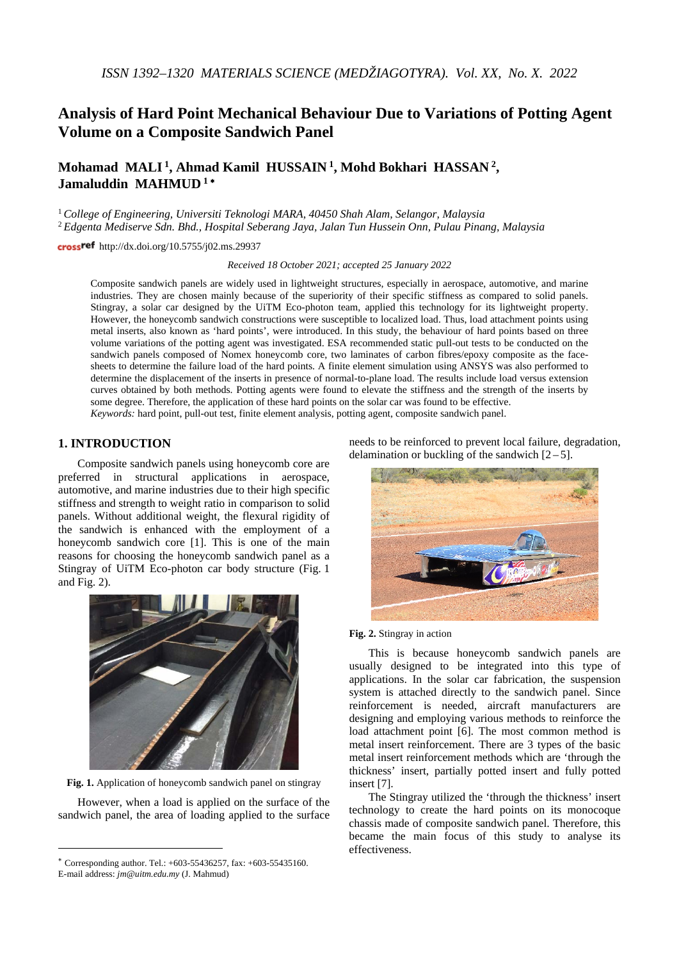# **Analysis of Hard Point Mechanical Behaviour Due to Variations of Potting Agent Volume on a Composite Sandwich Panel**

**Mohamad MALI 1, Ahmad Kamil HUSSAIN <sup>1</sup> , Mohd Bokhari HASSAN 2, Jamaluddin MAHMUD <sup>1</sup>** <sup>∗</sup>

<sup>1</sup>*College of Engineering, Universiti Teknologi MARA, 40450 Shah Alam, Selangor, Malaysia* <sup>2</sup> *Edgenta Mediserve Sdn. Bhd., Hospital Seberang Jaya, Jalan Tun Hussein Onn, Pulau Pinang, Malaysia*

crossref http://dx.doi.org/10.5755/j02.ms.29937

*Received 18 October 2021; accepted 25 January 2022*

Composite sandwich panels are widely used in lightweight structures, especially in aerospace, automotive, and marine industries. They are chosen mainly because of the superiority of their specific stiffness as compared to solid panels. Stingray, a solar car designed by the UiTM Eco-photon team, applied this technology for its lightweight property. However, the honeycomb sandwich constructions were susceptible to localized load. Thus, load attachment points using metal inserts, also known as 'hard points', were introduced. In this study, the behaviour of hard points based on three volume variations of the potting agent was investigated. ESA recommended static pull-out tests to be conducted on the sandwich panels composed of Nomex honeycomb core, two laminates of carbon fibres/epoxy composite as the facesheets to determine the failure load of the hard points. A finite element simulation using ANSYS was also performed to determine the displacement of the inserts in presence of normal-to-plane load. The results include load versus extension curves obtained by both methods. Potting agents were found to elevate the stiffness and the strength of the inserts by some degree. Therefore, the application of these hard points on the solar car was found to be effective. *Keywords:* hard point, pull-out test, finite element analysis, potting agent, composite sandwich panel.

## **1. INTRODUCTION**[∗](#page-0-0)

Composite sandwich panels using honeycomb core are preferred in structural applications in aerospace, automotive, and marine industries due to their high specific stiffness and strength to weight ratio in comparison to solid panels. Without additional weight, the flexural rigidity of the sandwich is enhanced with the employment of a honeycomb sandwich core [1]. This is one of the main reasons for choosing the honeycomb sandwich panel as a Stingray of UiTM Eco-photon car body structure (Fig. 1 and Fig. 2).



**Fig. 1.** Application of honeycomb sandwich panel on stingray

However, when a load is applied on the surface of the sandwich panel, the area of loading applied to the surface

 $\overline{a}$ 

needs to be reinforced to prevent local failure, degradation, delamination or buckling of the sandwich  $[2-5]$ .



#### **Fig. 2.** Stingray in action

This is because honeycomb sandwich panels are usually designed to be integrated into this type of applications. In the solar car fabrication, the suspension system is attached directly to the sandwich panel. Since reinforcement is needed, aircraft manufacturers are designing and employing various methods to reinforce the load attachment point [6]. The most common method is metal insert reinforcement. There are 3 types of the basic metal insert reinforcement methods which are 'through the thickness' insert, partially potted insert and fully potted insert [7].

The Stingray utilized the 'through the thickness' insert technology to create the hard points on its monocoque chassis made of composite sandwich panel. Therefore, this became the main focus of this study to analyse its effectiveness.

<span id="page-0-0"></span><sup>∗</sup> Corresponding author. Tel.: +603-55436257, fax: +603-55435160. E-mail address: *jm@uitm.edu.my* (J. Mahmud)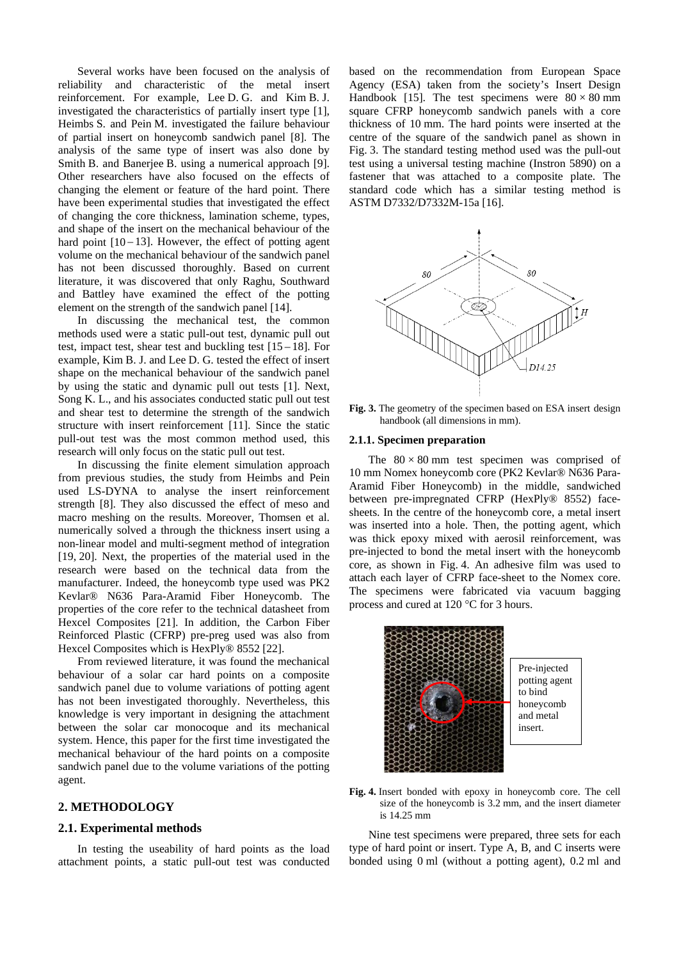Several works have been focused on the analysis of reliability and characteristic of the metal insert reinforcement. For example, Lee D. G. and Kim B. J. investigated the characteristics of partially insert type [1], Heimbs S. and Pein M. investigated the failure behaviour of partial insert on honeycomb sandwich panel [8]. The analysis of the same type of insert was also done by Smith B. and Banerjee B. using a numerical approach [9]. Other researchers have also focused on the effects of changing the element or feature of the hard point. There have been experimental studies that investigated the effect of changing the core thickness, lamination scheme, types, and shape of the insert on the mechanical behaviour of the hard point  $[10 - 13]$ . However, the effect of potting agent volume on the mechanical behaviour of the sandwich panel has not been discussed thoroughly. Based on current literature, it was discovered that only Raghu, Southward and Battley have examined the effect of the potting element on the strength of the sandwich panel [14].

In discussing the mechanical test, the common methods used were a static pull-out test, dynamic pull out test, impact test, shear test and buckling test  $[15 - 18]$ . For example, Kim B. J. and Lee D. G. tested the effect of insert shape on the mechanical behaviour of the sandwich panel by using the static and dynamic pull out tests [1]. Next, Song K. L., and his associates conducted static pull out test and shear test to determine the strength of the sandwich structure with insert reinforcement [11]. Since the static pull-out test was the most common method used, this research will only focus on the static pull out test.

In discussing the finite element simulation approach from previous studies, the study from Heimbs and Pein used LS-DYNA to analyse the insert reinforcement strength [8]. They also discussed the effect of meso and macro meshing on the results. Moreover, Thomsen et al. numerically solved a through the thickness insert using a non-linear model and multi-segment method of integration [19, 20]. Next, the properties of the material used in the research were based on the technical data from the manufacturer. Indeed, the honeycomb type used was PK2 Kevlar® N636 Para-Aramid Fiber Honeycomb. The properties of the core refer to the technical datasheet from Hexcel Composites [21]. In addition, the Carbon Fiber Reinforced Plastic (CFRP) pre-preg used was also from Hexcel Composites which is HexPly® 8552 [22].

From reviewed literature, it was found the mechanical behaviour of a solar car hard points on a composite sandwich panel due to volume variations of potting agent has not been investigated thoroughly. Nevertheless, this knowledge is very important in designing the attachment between the solar car monocoque and its mechanical system. Hence, this paper for the first time investigated the mechanical behaviour of the hard points on a composite sandwich panel due to the volume variations of the potting agent.

## **2. METHODOLOGY**

## **2.1. Experimental methods**

In testing the useability of hard points as the load attachment points, a static pull-out test was conducted based on the recommendation from European Space Agency (ESA) taken from the society's Insert Design Handbook [15]. The test specimens were  $80 \times 80$  mm square CFRP honeycomb sandwich panels with a core thickness of 10 mm. The hard points were inserted at the centre of the square of the sandwich panel as shown in Fig. 3. The standard testing method used was the pull-out test using a universal testing machine (Instron 5890) on a fastener that was attached to a composite plate. The standard code which has a similar testing method is ASTM D7332/D7332M-15a [16].



**Fig. 3.** The geometry of the specimen based on ESA insert design handbook (all dimensions in mm).

#### **2.1.1. Specimen preparation**

The  $80 \times 80$  mm test specimen was comprised of 10 mm Nomex honeycomb core (PK2 Kevlar® N636 Para-Aramid Fiber Honeycomb) in the middle, sandwiched between pre-impregnated CFRP (HexPly® 8552) facesheets. In the centre of the honeycomb core, a metal insert was inserted into a hole. Then, the potting agent, which was thick epoxy mixed with aerosil reinforcement, was pre-injected to bond the metal insert with the honeycomb core, as shown in Fig. 4. An adhesive film was used to attach each layer of CFRP face-sheet to the Nomex core. The specimens were fabricated via vacuum bagging process and cured at 120 °C for 3 hours.



**Fig. 4.** Insert bonded with epoxy in honeycomb core. The cell size of the honeycomb is 3.2 mm, and the insert diameter is 14.25 mm

Nine test specimens were prepared, three sets for each type of hard point or insert. Type A, B, and C inserts were bonded using 0 ml (without a potting agent), 0.2 ml and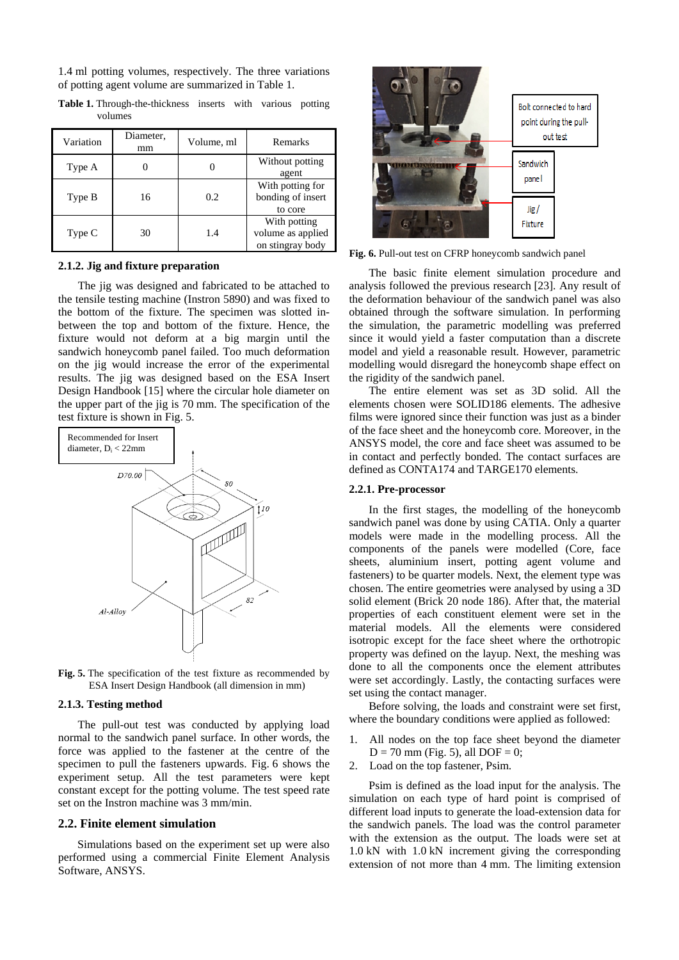1.4 ml potting volumes, respectively. The three variations of potting agent volume are summarized in Table 1.

| Variation | Diameter,<br>mm | Volume, ml | Remarks                                               |
|-----------|-----------------|------------|-------------------------------------------------------|
| Type A    |                 |            | Without potting<br>agent                              |
| Type B    | 16              | 0.2        | With potting for<br>bonding of insert<br>to core      |
| Type C    | 30              | 1.4        | With potting<br>volume as applied<br>on stingray body |

**Table 1.** Through-the-thickness inserts with various potting volumes

#### **2.1.2. Jig and fixture preparation**

The jig was designed and fabricated to be attached to the tensile testing machine (Instron 5890) and was fixed to the bottom of the fixture. The specimen was slotted inbetween the top and bottom of the fixture. Hence, the fixture would not deform at a big margin until the sandwich honeycomb panel failed. Too much deformation on the jig would increase the error of the experimental results. The jig was designed based on the ESA Insert Design Handbook [15] where the circular hole diameter on the upper part of the jig is 70 mm. The specification of the test fixture is shown in Fig. 5.



**Fig. 5.** The specification of the test fixture as recommended by ESA Insert Design Handbook (all dimension in mm)

#### **2.1.3. Testing method**

The pull-out test was conducted by applying load normal to the sandwich panel surface. In other words, the force was applied to the fastener at the centre of the specimen to pull the fasteners upwards. Fig. 6 shows the experiment setup. All the test parameters were kept constant except for the potting volume. The test speed rate set on the Instron machine was 3 mm/min.

## **2.2. Finite element simulation**

Simulations based on the experiment set up were also performed using a commercial Finite Element Analysis Software, ANSYS.



**Fig. 6.** Pull-out test on CFRP honeycomb sandwich panel

The basic finite element simulation procedure and analysis followed the previous research [23]. Any result of the deformation behaviour of the sandwich panel was also obtained through the software simulation. In performing the simulation, the parametric modelling was preferred since it would yield a faster computation than a discrete model and yield a reasonable result. However, parametric modelling would disregard the honeycomb shape effect on the rigidity of the sandwich panel.

The entire element was set as 3D solid. All the elements chosen were SOLID186 elements. The adhesive films were ignored since their function was just as a binder of the face sheet and the honeycomb core. Moreover, in the ANSYS model, the core and face sheet was assumed to be in contact and perfectly bonded. The contact surfaces are defined as CONTA174 and TARGE170 elements.

## **2.2.1. Pre-processor**

In the first stages, the modelling of the honeycomb sandwich panel was done by using CATIA. Only a quarter models were made in the modelling process. All the components of the panels were modelled (Core, face sheets, aluminium insert, potting agent volume and fasteners) to be quarter models. Next, the element type was chosen. The entire geometries were analysed by using a 3D solid element (Brick 20 node 186). After that, the material properties of each constituent element were set in the material models. All the elements were considered isotropic except for the face sheet where the orthotropic property was defined on the layup. Next, the meshing was done to all the components once the element attributes were set accordingly. Lastly, the contacting surfaces were set using the contact manager.

Before solving, the loads and constraint were set first, where the boundary conditions were applied as followed:

- 1. All nodes on the top face sheet beyond the diameter  $D = 70$  mm (Fig. 5), all DOF = 0;
- 2. Load on the top fastener, Psim.

Psim is defined as the load input for the analysis. The simulation on each type of hard point is comprised of different load inputs to generate the load-extension data for the sandwich panels. The load was the control parameter with the extension as the output. The loads were set at 1.0 kN with 1.0 kN increment giving the corresponding extension of not more than 4 mm. The limiting extension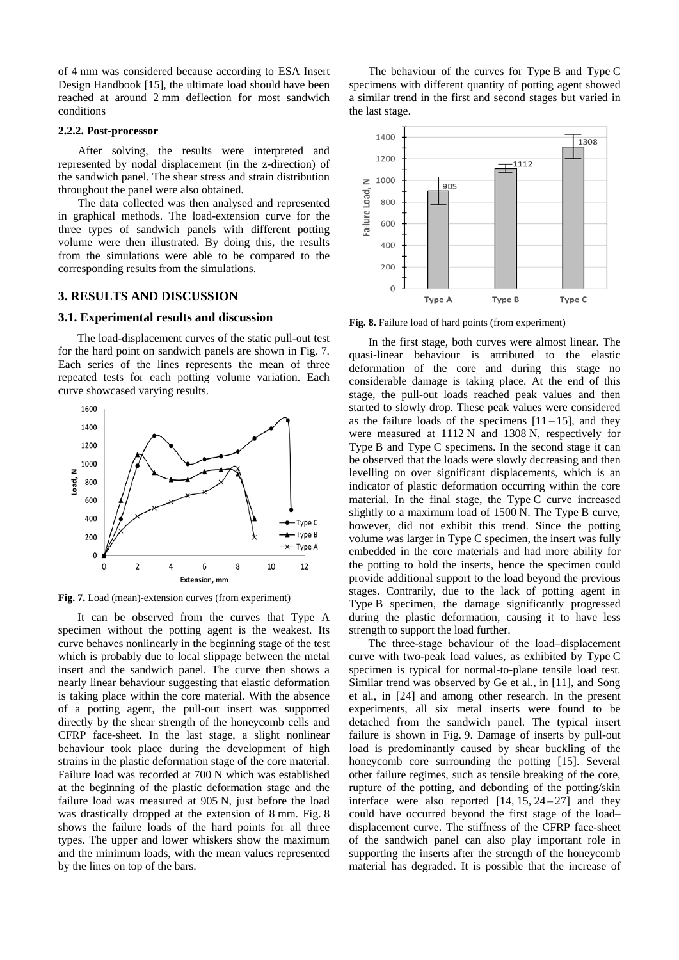of 4 mm was considered because according to ESA Insert Design Handbook [15], the ultimate load should have been reached at around 2 mm deflection for most sandwich conditions

# **2.2.2. Post-processor**

After solving, the results were interpreted and represented by nodal displacement (in the z-direction) of the sandwich panel. The shear stress and strain distribution throughout the panel were also obtained.

The data collected was then analysed and represented in graphical methods. The load-extension curve for the three types of sandwich panels with different potting volume were then illustrated. By doing this, the results from the simulations were able to be compared to the corresponding results from the simulations.

## **3. RESULTS AND DISCUSSION**

#### **3.1. Experimental results and discussion**

The load-displacement curves of the static pull-out test for the hard point on sandwich panels are shown in Fig. 7. Each series of the lines represents the mean of three repeated tests for each potting volume variation. Each curve showcased varying results.



**Fig. 7.** Load (mean)-extension curves (from experiment)

It can be observed from the curves that Type A specimen without the potting agent is the weakest. Its curve behaves nonlinearly in the beginning stage of the test which is probably due to local slippage between the metal insert and the sandwich panel. The curve then shows a nearly linear behaviour suggesting that elastic deformation is taking place within the core material. With the absence of a potting agent, the pull-out insert was supported directly by the shear strength of the honeycomb cells and CFRP face-sheet. In the last stage, a slight nonlinear behaviour took place during the development of high strains in the plastic deformation stage of the core material. Failure load was recorded at 700 N which was established at the beginning of the plastic deformation stage and the failure load was measured at 905 N, just before the load was drastically dropped at the extension of 8 mm. Fig. 8 shows the failure loads of the hard points for all three types. The upper and lower whiskers show the maximum and the minimum loads, with the mean values represented by the lines on top of the bars.

The behaviour of the curves for Type B and Type C specimens with different quantity of potting agent showed a similar trend in the first and second stages but varied in the last stage.



**Fig. 8.** Failure load of hard points (from experiment)

In the first stage, both curves were almost linear. The quasi-linear behaviour is attributed to the elastic deformation of the core and during this stage no considerable damage is taking place. At the end of this stage, the pull-out loads reached peak values and then started to slowly drop. These peak values were considered as the failure loads of the specimens  $[11-15]$ , and they were measured at 1112 N and 1308 N, respectively for Type B and Type C specimens. In the second stage it can be observed that the loads were slowly decreasing and then levelling on over significant displacements, which is an indicator of plastic deformation occurring within the core material. In the final stage, the Type C curve increased slightly to a maximum load of 1500 N. The Type B curve, however, did not exhibit this trend. Since the potting volume was larger in Type C specimen, the insert was fully embedded in the core materials and had more ability for the potting to hold the inserts, hence the specimen could provide additional support to the load beyond the previous stages. Contrarily, due to the lack of potting agent in Type B specimen, the damage significantly progressed during the plastic deformation, causing it to have less strength to support the load further.

The three-stage behaviour of the load–displacement curve with two-peak load values, as exhibited by Type C specimen is typical for normal-to-plane tensile load test. Similar trend was observed by Ge et al., in [11], and Song et al., in [24] and among other research. In the present experiments, all six metal inserts were found to be detached from the sandwich panel. The typical insert failure is shown in Fig. 9. Damage of inserts by pull-out load is predominantly caused by shear buckling of the honeycomb core surrounding the potting [15]. Several other failure regimes, such as tensile breaking of the core, rupture of the potting, and debonding of the potting/skin interface were also reported  $[14, 15, 24 - 27]$  and they could have occurred beyond the first stage of the load– displacement curve. The stiffness of the CFRP face-sheet of the sandwich panel can also play important role in supporting the inserts after the strength of the honeycomb material has degraded. It is possible that the increase of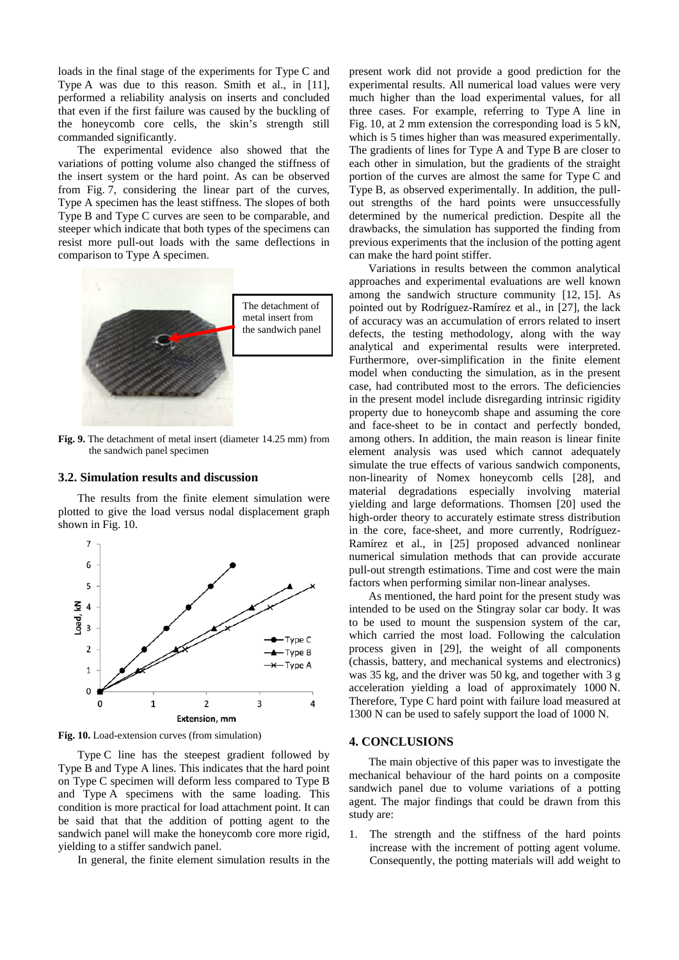loads in the final stage of the experiments for Type C and Type A was due to this reason. Smith et al., in [11], performed a reliability analysis on inserts and concluded that even if the first failure was caused by the buckling of the honeycomb core cells, the skin's strength still commanded significantly.

The experimental evidence also showed that the variations of potting volume also changed the stiffness of the insert system or the hard point. As can be observed from Fig. 7, considering the linear part of the curves, Type A specimen has the least stiffness. The slopes of both Type B and Type C curves are seen to be comparable, and steeper which indicate that both types of the specimens can resist more pull-out loads with the same deflections in comparison to Type A specimen.



**Fig. 9.** The detachment of metal insert (diameter 14.25 mm) from the sandwich panel specimen

#### **3.2. Simulation results and discussion**

The results from the finite element simulation were plotted to give the load versus nodal displacement graph shown in Fig. 10.



**Fig. 10.** Load-extension curves (from simulation)

Type C line has the steepest gradient followed by Type B and Type A lines. This indicates that the hard point on Type C specimen will deform less compared to Type B and Type A specimens with the same loading. This condition is more practical for load attachment point. It can be said that that the addition of potting agent to the sandwich panel will make the honeycomb core more rigid, yielding to a stiffer sandwich panel.

In general, the finite element simulation results in the

present work did not provide a good prediction for the experimental results. All numerical load values were very much higher than the load experimental values, for all three cases. For example, referring to Type A line in Fig. 10, at 2 mm extension the corresponding load is 5 kN, which is 5 times higher than was measured experimentally. The gradients of lines for Type A and Type B are closer to each other in simulation, but the gradients of the straight portion of the curves are almost the same for Type C and Type B, as observed experimentally. In addition, the pullout strengths of the hard points were unsuccessfully determined by the numerical prediction. Despite all the drawbacks, the simulation has supported the finding from previous experiments that the inclusion of the potting agent can make the hard point stiffer.

Variations in results between the common analytical approaches and experimental evaluations are well known among the sandwich structure community [12, 15]. As pointed out by Rodríguez-Ramírez et al., in [27], the lack of accuracy was an accumulation of errors related to insert defects, the testing methodology, along with the way analytical and experimental results were interpreted. Furthermore, over-simplification in the finite element model when conducting the simulation, as in the present case, had contributed most to the errors. The deficiencies in the present model include disregarding intrinsic rigidity property due to honeycomb shape and assuming the core and face-sheet to be in contact and perfectly bonded, among others. In addition, the main reason is linear finite element analysis was used which cannot adequately simulate the true effects of various sandwich components, non-linearity of Nomex honeycomb cells [28], and material degradations especially involving material yielding and large deformations. Thomsen [20] used the high-order theory to accurately estimate stress distribution in the core, face-sheet, and more currently, Rodríguez-Ramírez et al., in [25] proposed advanced nonlinear numerical simulation methods that can provide accurate pull-out strength estimations. Time and cost were the main factors when performing similar non-linear analyses.

As mentioned, the hard point for the present study was intended to be used on the Stingray solar car body. It was to be used to mount the suspension system of the car, which carried the most load. Following the calculation process given in [29], the weight of all components (chassis, battery, and mechanical systems and electronics) was 35 kg, and the driver was 50 kg, and together with 3 g acceleration yielding a load of approximately 1000 N. Therefore, Type C hard point with failure load measured at 1300 N can be used to safely support the load of 1000 N.

#### **4. CONCLUSIONS**

The main objective of this paper was to investigate the mechanical behaviour of the hard points on a composite sandwich panel due to volume variations of a potting agent. The major findings that could be drawn from this study are:

1. The strength and the stiffness of the hard points increase with the increment of potting agent volume. Consequently, the potting materials will add weight to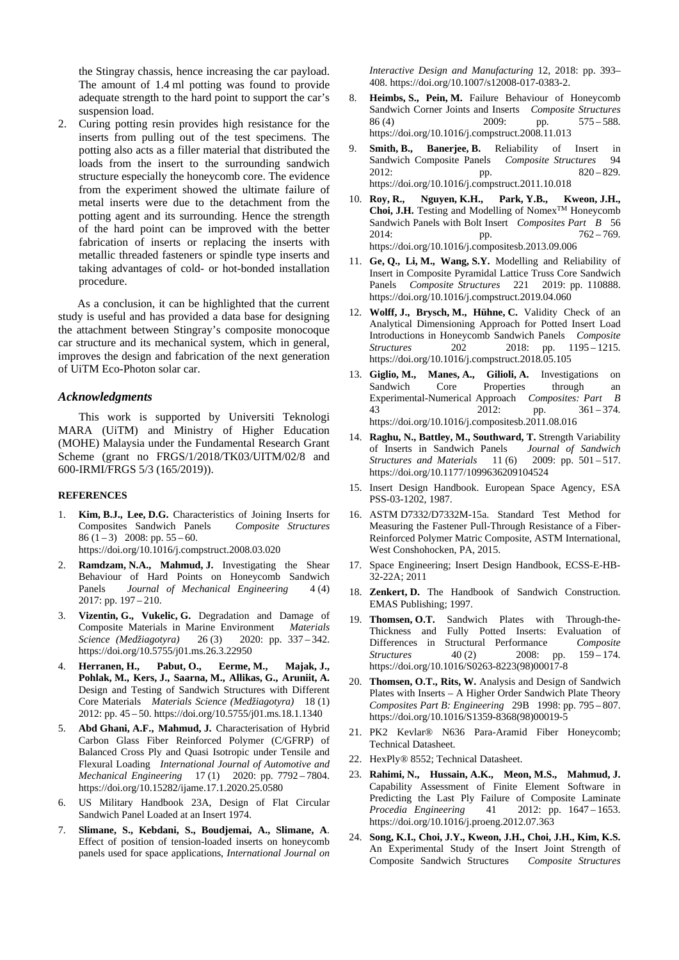the Stingray chassis, hence increasing the car payload. The amount of 1.4 ml potting was found to provide adequate strength to the hard point to support the car's suspension load.

2. Curing potting resin provides high resistance for the inserts from pulling out of the test specimens. The potting also acts as a filler material that distributed the loads from the insert to the surrounding sandwich structure especially the honeycomb core. The evidence from the experiment showed the ultimate failure of metal inserts were due to the detachment from the potting agent and its surrounding. Hence the strength of the hard point can be improved with the better fabrication of inserts or replacing the inserts with metallic threaded fasteners or spindle type inserts and taking advantages of cold- or hot-bonded installation procedure.

As a conclusion, it can be highlighted that the current study is useful and has provided a data base for designing the attachment between Stingray's composite monocoque car structure and its mechanical system, which in general, improves the design and fabrication of the next generation of UiTM Eco-Photon solar car.

## *Acknowledgments*

This work is supported by Universiti Teknologi MARA (UiTM) and Ministry of Higher Education (MOHE) Malaysia under the Fundamental Research Grant Scheme (grant no FRGS/1/2018/TK03/UITM/02/8 and 600-IRMI/FRGS 5/3 (165/2019)).

#### **REFERENCES**

- 1. **Kim, B.J., Lee, D.G.** Characteristics of Joining Inserts for Composites Sandwich Panels *Composite Structures*  86  $(1-3)$  2008: pp. 55 – 60. https://doi.org/10.1016/j.compstruct.2008.03.020
- 2. **Ramdzam, N.A., Mahmud, J.** Investigating the Shear Behaviour of Hard Points on Honeycomb Sandwich Panels *Journal of Mechanical Engineering* 4(4) 2017: pp. 197 – 210.
- 3. **Vizentin, G., Vukelic, G.** Degradation and Damage of Composite Materials in Marine Environment *Materials Science (Medžiagotyra)* 26 (3) 2020: pp. 337 – 342. <https://doi.org/10.5755/j01.ms.26.3.22950>
- 4. **Herranen, H., Pabut, O., Eerme, M., Majak, J., Pohlak, M., Kers, J., Saarna, M., Allikas, G., Aruniit, A.** Design and Testing of Sandwich Structures with Different Core Materials *Materials Science (Medžiagotyra)* 18 (1) 2012: pp. 45 – 50. <https://doi.org/10.5755/j01.ms.18.1.1340>
- 5. **Abd Ghani, A.F., Mahmud, J.** Characterisation of Hybrid Carbon Glass Fiber Reinforced Polymer (C/GFRP) of Balanced Cross Ply and Quasi Isotropic under Tensile and Flexural Loading *International Journal of Automotive and Mechanical Engineering* 17 (1) 2020: pp. 7792 – 7804. <https://doi.org/10.15282/ijame.17.1.2020.25.0580>
- 6. US Military Handbook 23A, Design of Flat Circular Sandwich Panel Loaded at an Insert 1974.
- 7. **Slimane, S., Kebdani, S., Boudjemai, A., Slimane, A**. Effect of position of tension-loaded inserts on honeycomb panels used for space applications, *International Journal on*

*Interactive Design and Manufacturing* 12, 2018: pp. 393– 408. https://doi.org/10.1007/s12008-017-0383-2.

- 8. **Heimbs, S., Pein, M.** Failure Behaviour of Honeycomb Sandwich Corner Joints and Inserts *Composite Structures* 86 (4) 2009: pp. 575 – 588. <https://doi.org/10.1016/j.compstruct.2008.11.013>
- 9. **Smith, B., Banerjee, B.** Reliability of Insert in Sandwich Composite Panels *Composite Structures* 94 2012: pp. 820 – 829. <https://doi.org/10.1016/j.compstruct.2011.10.018>
- 10. **Roy, R., Nguyen, K.H., Park, Y.B., Kweon, J.H.,**  Choi, **J.H.** Testing and Modelling of Nomex™ Honeycomb Sandwich Panels with Bolt Insert *Composites Part B* 56 2014: pp. 762 – 769. <https://doi.org/10.1016/j.compositesb.2013.09.006>
- 11. **Ge, Q., Li, M., Wang, S.Y.** Modelling and Reliability of Insert in Composite Pyramidal Lattice Truss Core Sandwich Panels *Composite Structures* 221 2019: pp. 110888. <https://doi.org/10.1016/j.compstruct.2019.04.060>
- 12. **Wolff, J., Brysch, M., Hühne, C.** Validity Check of an Analytical Dimensioning Approach for Potted Insert Load Introductions in Honeycomb Sandwich Panels *Composite Structures* 202 2018: pp. 1195 – 1215. <https://doi.org/10.1016/j.compstruct.2018.05.105>
- 13. **Giglio, M., Manes, A., Gilioli, A.** Investigations on Sandwich Core Properties through an Experimental-Numerical Approach *Composites: Part B*  43 2012: pp. 361 – 374. <https://doi.org/10.1016/j.compositesb.2011.08.016>
- 14. **Raghu, N., Battley, M., Southward, T.** Strength Variability of Inserts in Sandwich Panels *Journal of Sandwich Structures and Materials* 11 (6) 2009: pp. 501 – 517. [https://doi.org/10.1177/1099636209104524](https://doi.org/10.1177%2F1099636209104524)
- 15. Insert Design Handbook. European Space Agency, ESA PSS-03-1202, 1987.
- 16. ASTM D7332/D7332M-15a. Standard Test Method for Measuring the Fastener Pull-Through Resistance of a Fiber-Reinforced Polymer Matric Composite, ASTM International, West Conshohocken, PA, 2015.
- 17. Space Engineering; Insert Design Handbook, ECSS-E-HB-32-22A; 2011
- 18. **Zenkert, D.** The Handbook of Sandwich Construction. EMAS Publishing; 1997.
- 19. **Thomsen, O.T.** Sandwich Plates with Through-the-Thickness and Fully Potted Inserts: Evaluation of Differences in Structural Performance *Composite Structures* 40 (2) 2008: pp. 159 – 174. [https://doi.org/10.1016/S0263-8223\(98\)00017-8](https://doi.org/10.1016/S0263-8223(98)00017-8)
- 20. **Thomsen, O.T., Rits, W.** Analysis and Design of Sandwich Plates with Inserts – A Higher Order Sandwich Plate Theory *Composites Part B: Engineering* 29B 1998: pp. 795 – 807. [https://doi.org/10.1016/S1359-8368\(98\)00019-5](https://doi.org/10.1016/S1359-8368(98)00019-5)
- 21. PK2 Kevlar® N636 Para-Aramid Fiber Honeycomb; Technical Datasheet.
- 22. HexPly® 8552; Technical Datasheet.
- 23. **Rahimi, N., Hussain, A.K., Meon, M.S., Mahmud, J.**  Capability Assessment of Finite Element Software in Predicting the Last Ply Failure of Composite Laminate *Procedia Engineering* 41 2012: pp. 1647 – 1653. <https://doi.org/10.1016/j.proeng.2012.07.363>
- 24. **Song, K.I., Choi, J.Y., Kweon, J.H., Choi, J.H., Kim, K.S.**  An Experimental Study of the Insert Joint Strength of Composite Sandwich Structures *Composite Structures*